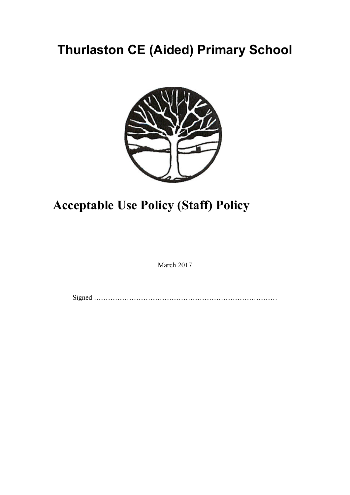# **Thurlaston CE (Aided) Primary School**



# **Acceptable Use Policy (Staff) Policy**

March 2017

Signed ……………………………………………………………………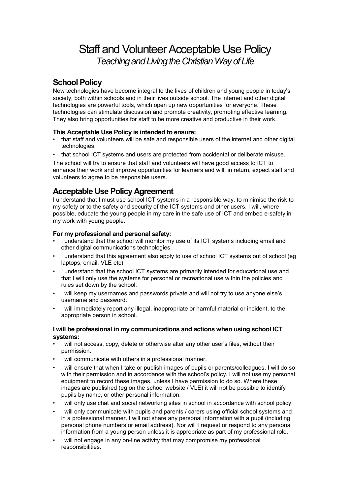## Staff and Volunteer Acceptable Use Policy *Teaching and Living the Christian Way of Life*

### **School Policy**

New technologies have become integral to the lives of children and young people in today's society, both within schools and in their lives outside school. The internet and other digital technologies are powerful tools, which open up new opportunities for everyone. These technologies can stimulate discussion and promote creativity, promoting effective learning. They also bring opportunities for staff to be more creative and productive in their work.

#### **This Acceptable Use Policy is intended to ensure:**

- that staff and volunteers will be safe and responsible users of the internet and other digital technologies.
- that school ICT systems and users are protected from accidental or deliberate misuse.

The school will try to ensure that staff and volunteers will have good access to ICT to enhance their work and improve opportunities for learners and will, in return, expect staff and volunteers to agree to be responsible users.

### **Acceptable Use Policy Agreement**

I understand that I must use school ICT systems in a responsible way, to minimise the risk to my safety or to the safety and security of the ICT systems and other users. I will, where possible, educate the young people in my care in the safe use of ICT and embed e-safety in my work with young people.

#### **For my professional and personal safety:**

- I understand that the school will monitor my use of its ICT systems including email and other digital communications technologies.
- I understand that this agreement also apply to use of school ICT systems out of school (eg laptops, email, VLE etc).
- I understand that the school ICT systems are primarily intended for educational use and that I will only use the systems for personal or recreational use within the policies and rules set down by the school.
- I will keep my usernames and passwords private and will not try to use anyone else's username and password.
- I will immediately report any illegal, inappropriate or harmful material or incident, to the appropriate person in school.

#### **I will be professional in my communications and actions when using school ICT systems:**

- I will not access, copy, delete or otherwise alter any other user's files, without their permission.
- I will communicate with others in a professional manner.
- I will ensure that when I take or publish images of pupils or parents/colleagues, I will do so with their permission and in accordance with the school's policy. I will not use my personal equipment to record these images, unless I have permission to do so. Where these images are published (eg on the school website / VLE) it will not be possible to identify pupils by name, or other personal information.
- I will only use chat and social networking sites in school in accordance with school policy.
- I will only communicate with pupils and parents / carers using official school systems and in a professional manner. I will not share any personal information with a pupil (including personal phone numbers or email address). Nor will I request or respond to any personal information from a young person unless it is appropriate as part of my professional role.
- I will not engage in any on-line activity that may compromise my professional responsibilities.